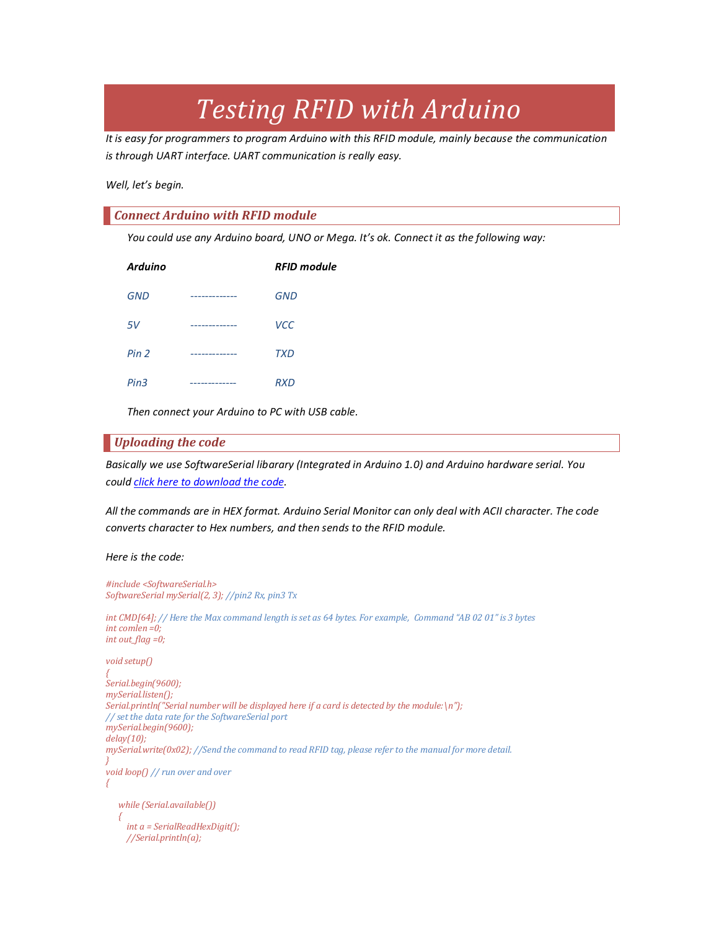# *Testing RFID with Arduino*

*It is easy for programmers to program Arduino with this RFID module, mainly because the communication is through UART interface. UART communication is really easy.*

*Well, let's begin.*

### *Connect Arduino with RFID module*

*You could use any Arduino board, UNO or Mega. It's ok. Connect it as the following way:*

| <b>Arduino</b>   |             | <b>RFID module</b> |
|------------------|-------------|--------------------|
| <b>GND</b>       | ------      | <b>GND</b>         |
| 5V               | ------      | <b>VCC</b>         |
| Pin <sub>2</sub> | --------    | <b>TXD</b>         |
| Pin3             | ----------- | <b>RXD</b>         |

*Then connect your Arduino to PC with USB cable.*

## *Uploading the code*

*Basically we use SoftwareSerial libarary (Integrated in Arduino 1.0) and Arduino hardware serial. You could [click here to download the code.](http://www.elechouse.com/elechouse/images/product/13.56MHZ_RFID_Module/RFID_Arduino.ino)*

*All the commands are in HEX format. Arduino Serial Monitor can only deal with ACII character. The code converts character to Hex numbers, and then sends to the RFID module.*

#### *Here is the code:*

```
#include <SoftwareSerial.h> 
SoftwareSerial mySerial(2, 3); //pin2 Rx, pin3 Tx 
int CMD[64]; // Here the Max command length is set as 64 bytes. For example, Command "AB 02 01" is 3 bytes
int comlen =0;
int out_flag =0;
void setup() 
{ 
Serial.begin(9600);
mySerial.listen();
Serial.println("Serial number will be displayed here if a card is detected by the module:\n"); 
// set the data rate for the SoftwareSerial port 
mySerial.begin(9600); 
delay(10);
mySerial.write(0x02); //Send the command to read RFID tag, please refer to the manual for more detail.
} 
void loop() // run over and over 
{ 
    while (Serial.available()) 
 {
      int a = SerialReadHexDigit();
      //Serial.println(a);
```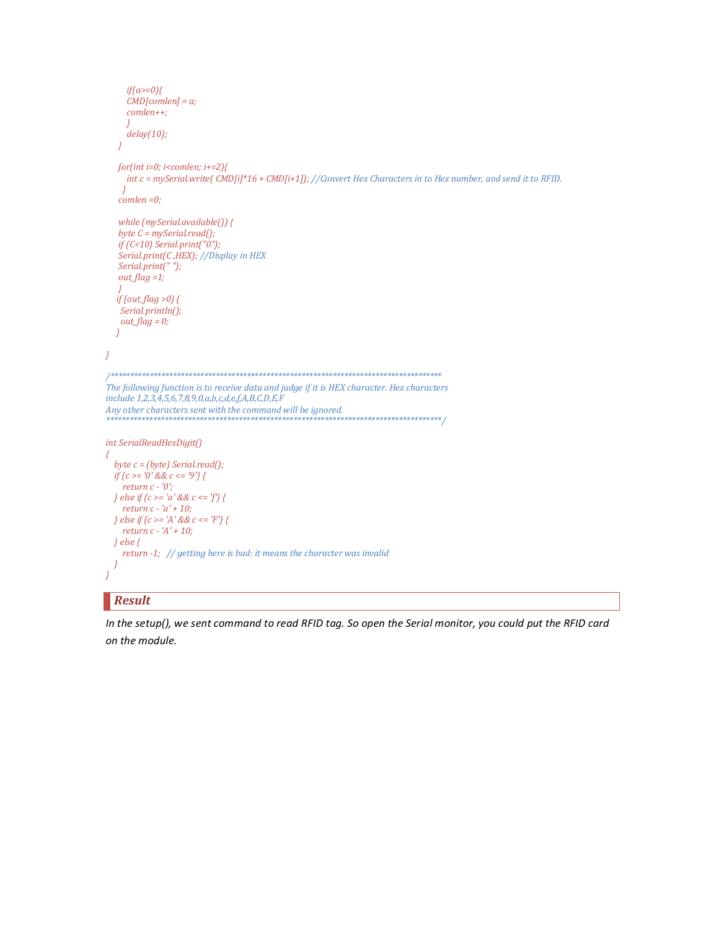```
if(a>=0){
     CMD[comlen] = a;comlen++;delay(10);\lambdafor(int i=0; i<comlen; i+=2){
    int c = mySerial.write(\widehat{CMD[i]^*16 + CMD[i+1]}; //Convert Hex Characters in to Hex number, and send it to RFID.
   \left| \right|comlen = 0;while (mySerial. available() {
  byte C = mySerial.read();if (C<10) Serial.print("0");
  Serial.print(C,HEX); //Display in HEX
  Serial.print("");
  out\_flag = 1;if (out_flag >0) {
   Serial.println();out\_flag = 0;\overline{\mathbf{r}}\overline{\mathcal{X}}The following function is to receive data and judge if it is HEX character. Hex characters
include 1,2,3,4,5,6,7,8,9,0,a,b,c,d,e,f,A,B,C,D,E,F
Any other characters sent with the command will be ignored.
int SerialReadHexDigit()
₹
 byte c = (byte) Serial.read();
 if (c == '0' \&& c == '9') {
   return c - '0';
 } else if (c \ge -a' \&& c \le -f'} {
   return c - 'a' + 10;
 } else if (c \geq a' \&& c \leq F') {
   return c - 'A' + 10;
 \} else {
    return -1; // getting here is bad: it means the character was invalid
\overline{\ }
```
# **Result**

In the setup(), we sent command to read RFID tag. So open the Serial monitor, you could put the RFID card on the module.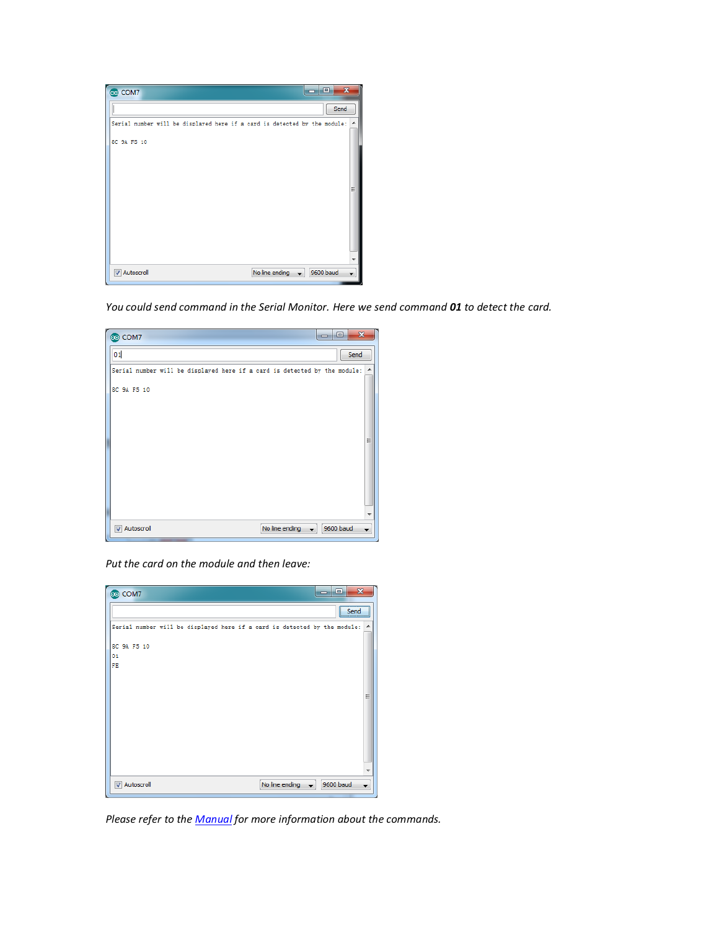

*You could send command in the Serial Monitor. Here we send command 01 to detect the card.*

| co COM7                                                                   | <b>COLLECTION</b> | $-\mathbf{x}$<br>o |                          |
|---------------------------------------------------------------------------|-------------------|--------------------|--------------------------|
| 01                                                                        |                   | Send               |                          |
| Serial number will be displayed here if a card is detected by the module: |                   |                    | $\overline{\phantom{a}}$ |
| 8C 9A F5 10                                                               |                   |                    |                          |
|                                                                           |                   |                    |                          |
|                                                                           |                   |                    |                          |
|                                                                           |                   |                    | Ξ                        |
|                                                                           |                   |                    |                          |
|                                                                           |                   |                    |                          |
|                                                                           |                   |                    |                          |
|                                                                           |                   |                    | ٠                        |
| <b>V</b> Autoscroll<br>No line ending                                     |                   | 9600 baud          |                          |

*Put the card on the module and then leave:*

| co COM7                                                                   | ه اد | $\mathbf{x}$    |   |
|---------------------------------------------------------------------------|------|-----------------|---|
|                                                                           |      | $\mathsf{Send}$ |   |
| Serial number will be displayed here if a card is detected by the module: |      |                 | ۸ |
| 8C 9A F5 10                                                               |      |                 |   |
| 01<br>FE                                                                  |      |                 |   |
|                                                                           |      |                 | Ξ |
|                                                                           |      |                 | ٠ |
| <b>V</b> Autoscroll<br>No line ending                                     |      | 9600 baud       |   |

*Please refer to the [Manual](http://www.elechouse.com/elechouse/images/product/13.56MHZ_RFID_Module/13.56MHZ_RFID_Manual.pdf) for more information about the commands.*